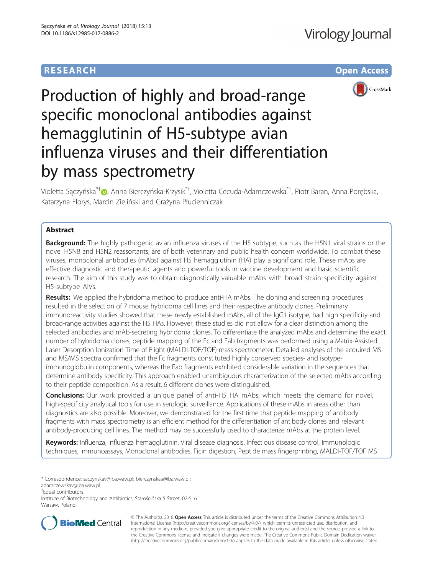# **RESEARCH CHE Open Access**



# Production of highly and broad-range specific monoclonal antibodies against hemagglutinin of H5-subtype avian influenza viruses and their differentiation by mass spectrometry

Violetta Sączyńska<sup>\*†</sup>®[,](http://orcid.org/0000-0003-1828-6783) Anna Bierczyńska-Krzysik<sup>\*†</sup>, Violetta Cecuda-Adamczewska<sup>\*†</sup>, Piotr Baran, Anna Porębska, Katarzyna Florys, Marcin Zieliński and Grażyna Płucienniczak

## Abstract

**Background:** The highly pathogenic avian influenza viruses of the H5 subtype, such as the H5N1 viral strains or the novel H5N8 and H5N2 reassortants, are of both veterinary and public health concern worldwide. To combat these viruses, monoclonal antibodies (mAbs) against H5 hemagglutinin (HA) play a significant role. These mAbs are effective diagnostic and therapeutic agents and powerful tools in vaccine development and basic scientific research. The aim of this study was to obtain diagnostically valuable mAbs with broad strain specificity against H5-subtype AIVs.

**Results:** We applied the hybridoma method to produce anti-HA mAbs. The cloning and screening procedures resulted in the selection of 7 mouse hybridoma cell lines and their respective antibody clones. Preliminary immunoreactivity studies showed that these newly established mAbs, all of the IgG1 isotype, had high specificity and broad-range activities against the H5 HAs. However, these studies did not allow for a clear distinction among the selected antibodies and mAb-secreting hybridoma clones. To differentiate the analyzed mAbs and determine the exact number of hybridoma clones, peptide mapping of the Fc and Fab fragments was performed using a Matrix-Assisted Laser Desorption Ionization Time of Flight (MALDI-TOF/TOF) mass spectrometer. Detailed analyses of the acquired MS and MS/MS spectra confirmed that the Fc fragments constituted highly conserved species- and isotypeimmunoglobulin components, whereas the Fab fragments exhibited considerable variation in the sequences that determine antibody specificity. This approach enabled unambiguous characterization of the selected mAbs according to their peptide composition. As a result, 6 different clones were distinguished.

**Conclusions:** Our work provided a unique panel of anti-H5 HA mAbs, which meets the demand for novel, high-specificity analytical tools for use in serologic surveillance. Applications of these mAbs in areas other than diagnostics are also possible. Moreover, we demonstrated for the first time that peptide mapping of antibody fragments with mass spectrometry is an efficient method for the differentiation of antibody clones and relevant antibody-producing cell lines. The method may be successfully used to characterize mAbs at the protein level.

Keywords: Influenza, Influenza hemagglutinin, Viral disease diagnosis, Infectious disease control, Immunologic techniques, Immunoassays, Monoclonal antibodies, Ficin digestion, Peptide mass fingerprinting, MALDI-TOF/TOF MS

\* Correspondence: [saczynskav@iba.waw.pl](mailto:saczynskav@iba.waw.pl); [bierczynskaa@iba.waw.pl](mailto:bierczynskaa@iba.waw.pl);

[adamczewskav@iba.waw.pl](mailto:adamczewskav@iba.waw.pl)

† Equal contributors

Institute of Biotechnology and Antibiotics, Starościńska 5 Street, 02-516 Warsaw, Poland



© The Author(s). 2018 Open Access This article is distributed under the terms of the Creative Commons Attribution 4.0 International License [\(http://creativecommons.org/licenses/by/4.0/](http://creativecommons.org/licenses/by/4.0/)), which permits unrestricted use, distribution, and reproduction in any medium, provided you give appropriate credit to the original author(s) and the source, provide a link to the Creative Commons license, and indicate if changes were made. The Creative Commons Public Domain Dedication waiver [\(http://creativecommons.org/publicdomain/zero/1.0/](http://creativecommons.org/publicdomain/zero/1.0/)) applies to the data made available in this article, unless otherwise stated.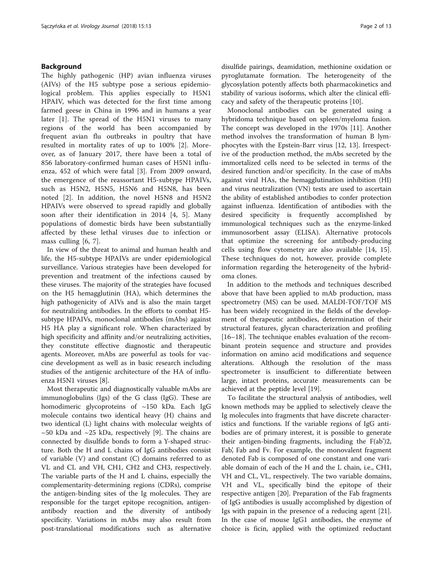#### Background

The highly pathogenic (HP) avian influenza viruses (AIVs) of the H5 subtype pose a serious epidemiological problem. This applies especially to H5N1 HPAIV, which was detected for the first time among farmed geese in China in 1996 and in humans a year later [\[1](#page-11-0)]. The spread of the H5N1 viruses to many regions of the world has been accompanied by frequent avian flu outbreaks in poultry that have resulted in mortality rates of up to 100% [[2\]](#page-11-0). Moreover, as of January 2017, there have been a total of 856 laboratory-confirmed human cases of H5N1 influenza, 452 of which were fatal [[3\]](#page-11-0). From 2009 onward, the emergence of the reassortant H5-subtype HPAIVs, such as H5N2, H5N5, H5N6 and H5N8, has been noted [[2\]](#page-11-0). In addition, the novel H5N8 and H5N2 HPAIVs were observed to spread rapidly and globally soon after their identification in 2014 [\[4](#page-11-0), [5\]](#page-11-0). Many populations of domestic birds have been substantially affected by these lethal viruses due to infection or mass culling [[6, 7\]](#page-11-0).

In view of the threat to animal and human health and life, the H5-subtype HPAIVs are under epidemiological surveillance. Various strategies have been developed for prevention and treatment of the infections caused by these viruses. The majority of the strategies have focused on the H5 hemagglutinin (HA), which determines the high pathogenicity of AIVs and is also the main target for neutralizing antibodies. In the efforts to combat H5 subtype HPAIVs, monoclonal antibodies (mAbs) against H5 HA play a significant role. When characterized by high specificity and affinity and/or neutralizing activities, they constitute effective diagnostic and therapeutic agents. Moreover, mAbs are powerful as tools for vaccine development as well as in basic research including studies of the antigenic architecture of the HA of influenza H5N1 viruses [\[8](#page-11-0)].

Most therapeutic and diagnostically valuable mAbs are immunoglobulins (Igs) of the G class (IgG). These are homodimeric glycoproteins of ~150 kDa. Each IgG molecule contains two identical heavy (H) chains and two identical (L) light chains with molecular weights of  $\sim$ 50 kDa and  $\sim$ 25 kDa, respectively [[9\]](#page-11-0). The chains are connected by disulfide bonds to form a Y-shaped structure. Both the H and L chains of IgG antibodies consist of variable (V) and constant (C) domains referred to as VL and CL and VH, CH1, CH2 and CH3, respectively. The variable parts of the H and L chains, especially the complementarity-determining regions (CDRs), comprise the antigen-binding sites of the Ig molecules. They are responsible for the target epitope recognition, antigenantibody reaction and the diversity of antibody specificity. Variations in mAbs may also result from post-translational modifications such as alternative disulfide pairings, deamidation, methionine oxidation or pyroglutamate formation. The heterogeneity of the glycosylation potently affects both pharmacokinetics and stability of various isoforms, which alter the clinical efficacy and safety of the therapeutic proteins [\[10](#page-11-0)].

Monoclonal antibodies can be generated using a hybridoma technique based on spleen/myeloma fusion. The concept was developed in the 1970s [\[11](#page-11-0)]. Another method involves the transformation of human B lymphocytes with the Epstein-Barr virus [[12](#page-11-0), [13](#page-11-0)]. Irrespective of the production method, the mAbs secreted by the immortalized cells need to be selected in terms of the desired function and/or specificity. In the case of mAbs against viral HAs, the hemagglutination inhibition (HI) and virus neutralization (VN) tests are used to ascertain the ability of established antibodies to confer protection against influenza. Identification of antibodies with the desired specificity is frequently accomplished by immunological techniques such as the enzyme-linked immunosorbent assay (ELISA). Alternative protocols that optimize the screening for antibody-producing cells using flow cytometry are also available [[14](#page-11-0), [15](#page-11-0)]. These techniques do not, however, provide complete information regarding the heterogeneity of the hybridoma clones.

In addition to the methods and techniques described above that have been applied to mAb production, mass spectrometry (MS) can be used. MALDI-TOF/TOF MS has been widely recognized in the fields of the development of therapeutic antibodies, determination of their structural features, glycan characterization and profiling [[16](#page-11-0)–[18](#page-11-0)]. The technique enables evaluation of the recombinant protein sequence and structure and provides information on amino acid modifications and sequence alterations. Although the resolution of the mass spectrometer is insufficient to differentiate between large, intact proteins, accurate measurements can be achieved at the peptide level [\[19\]](#page-11-0).

To facilitate the structural analysis of antibodies, well known methods may be applied to selectively cleave the Ig molecules into fragments that have discrete characteristics and functions. If the variable regions of IgG antibodies are of primary interest, it is possible to generate their antigen-binding fragments, including the F(ab')2, Fab', Fab and Fv. For example, the monovalent fragment denoted Fab is composed of one constant and one variable domain of each of the H and the L chain, i.e., CH1, VH and CL, VL, respectively. The two variable domains, VH and VL, specifically bind the epitope of their respective antigen [[20](#page-11-0)]. Preparation of the Fab fragments of IgG antibodies is usually accomplished by digestion of Igs with papain in the presence of a reducing agent [\[21](#page-11-0)]. In the case of mouse IgG1 antibodies, the enzyme of choice is ficin, applied with the optimized reductant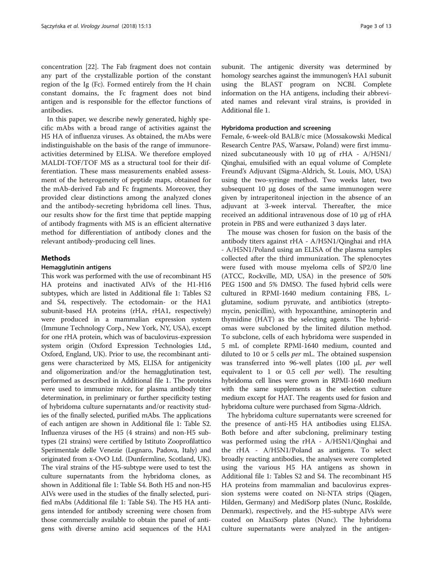concentration [[22](#page-11-0)]. The Fab fragment does not contain any part of the crystallizable portion of the constant region of the Ig (Fc). Formed entirely from the H chain constant domains, the Fc fragment does not bind antigen and is responsible for the effector functions of antibodies.

In this paper, we describe newly generated, highly specific mAbs with a broad range of activities against the H5 HA of influenza viruses. As obtained, the mAbs were indistinguishable on the basis of the range of immunoreactivities determined by ELISA. We therefore employed MALDI-TOF/TOF MS as a structural tool for their differentiation. These mass measurements enabled assessment of the heterogeneity of peptide maps, obtained for the mAb-derived Fab and Fc fragments. Moreover, they provided clear distinctions among the analyzed clones and the antibody-secreting hybridoma cell lines. Thus, our results show for the first time that peptide mapping of antibody fragments with MS is an efficient alternative method for differentiation of antibody clones and the relevant antibody-producing cell lines.

#### Methods

#### Hemagglutinin antigens

This work was performed with the use of recombinant H5 HA proteins and inactivated AIVs of the H1-H16 subtypes, which are listed in Additional file [1](#page-10-0): Tables S2 and S4, respectively. The ectodomain- or the HA1 subunit-based HA proteins (rHA, rHA1, respectively) were produced in a mammalian expression system (Immune Technology Corp., New York, NY, USA), except for one rHA protein, which was of baculovirus-expression system origin (Oxford Expression Technologies Ltd., Oxford, England, UK). Prior to use, the recombinant antigens were characterized by MS, ELISA for antigenicity and oligomerization and/or the hemagglutination test, performed as described in Additional file [1.](#page-10-0) The proteins were used to immunize mice, for plasma antibody titer determination, in preliminary or further specificity testing of hybridoma culture supernatants and/or reactivity studies of the finally selected, purified mAbs. The applications of each antigen are shown in Additional file [1](#page-10-0): Table S2. Influenza viruses of the H5 (4 strains) and non-H5 subtypes (21 strains) were certified by Istituto Zooprofilattico Sperimentale delle Venezie (Legnaro, Padova, Italy) and originated from x-OvO Ltd. (Dunfermline, Scotland, UK). The viral strains of the H5-subtype were used to test the culture supernatants from the hybridoma clones, as shown in Additional file [1:](#page-10-0) Table S4. Both H5 and non-H5 AIVs were used in the studies of the finally selected, purified mAbs (Additional file [1:](#page-10-0) Table S4). The H5 HA antigens intended for antibody screening were chosen from those commercially available to obtain the panel of antigens with diverse amino acid sequences of the HA1

subunit. The antigenic diversity was determined by homology searches against the immunogen's HA1 subunit using the BLAST program on NCBI. Complete information on the HA antigens, including their abbreviated names and relevant viral strains, is provided in Additional file [1](#page-10-0).

#### Hybridoma production and screening

Female, 6-week-old BALB/c mice (Mossakowski Medical Research Centre PAS, Warsaw, Poland) were first immunized subcutaneously with 10 μg of rHA - A/H5N1/ Qinghai, emulsified with an equal volume of Complete Freund's Adjuvant (Sigma-Aldrich, St. Louis, MO, USA) using the two-syringe method. Two weeks later, two subsequent 10 μg doses of the same immunogen were given by intraperitoneal injection in the absence of an adjuvant at 3-week interval. Thereafter, the mice received an additional intravenous dose of 10 μg of rHA protein in PBS and were euthanized 3 days later.

The mouse was chosen for fusion on the basis of the antibody titers against rHA - A/H5N1/Qinghai and rHA - A/H5N1/Poland using an ELISA of the plasma samples collected after the third immunization. The splenocytes were fused with mouse myeloma cells of SP2/0 line (ATCC, Rockville, MD, USA) in the presence of 50% PEG 1500 and 5% DMSO. The fused hybrid cells were cultured in RPMI-1640 medium containing FBS, Lglutamine, sodium pyruvate, and antibiotics (streptomycin, penicillin), with hypoxanthine, aminopterin and thymidine (HAT) as the selecting agents. The hybridomas were subcloned by the limited dilution method. To subclone, cells of each hybridoma were suspended in 5 mL of complete RPMI-1640 medium, counted and diluted to 10 or 5 cells *per* mL. The obtained suspension was transferred into 96-well plates (100 μL per well equivalent to 1 or 0.5 cell per well). The resulting hybridoma cell lines were grown in RPMI-1640 medium with the same supplements as the selection culture medium except for HAT. The reagents used for fusion and hybridoma culture were purchased from Sigma-Aldrich.

The hybridoma culture supernatants were screened for the presence of anti-H5 HA antibodies using ELISA. Both before and after subcloning, preliminary testing was performed using the rHA - A/H5N1/Qinghai and the rHA - A/H5N1/Poland as antigens. To select broadly reacting antibodies, the analyses were completed using the various H5 HA antigens as shown in Additional file [1](#page-10-0): Tables S2 and S4. The recombinant H5 HA proteins from mammalian and baculovirus expression systems were coated on Ni-NTA strips (Qiagen, Hilden, Germany) and MediSorp plates (Nunc, Roskilde, Denmark), respectively, and the H5-subtype AIVs were coated on MaxiSorp plates (Nunc). The hybridoma culture supernatants were analyzed in the antigen-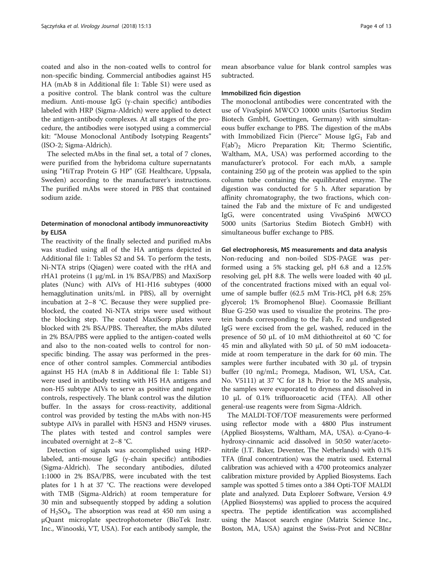coated and also in the non-coated wells to control for non-specific binding. Commercial antibodies against H5 HA (mAb 8 in Additional file [1](#page-10-0): Table S1) were used as a positive control. The blank control was the culture medium. Anti-mouse IgG (γ-chain specific) antibodies labeled with HRP (Sigma-Aldrich) were applied to detect the antigen-antibody complexes. At all stages of the procedure, the antibodies were isotyped using a commercial kit: "Mouse Monoclonal Antibody Isotyping Reagents" (ISO-2; Sigma-Aldrich).

The selected mAbs in the final set, a total of 7 clones, were purified from the hybridoma culture supernatants using "HiTrap Protein G HP" (GE Healthcare, Uppsala, Sweden) according to the manufacturer's instructions. The purified mAbs were stored in PBS that contained sodium azide.

#### Determination of monoclonal antibody immunoreactivity by ELISA

The reactivity of the finally selected and purified mAbs was studied using all of the HA antigens depicted in Additional file [1](#page-10-0): Tables S2 and S4. To perform the tests, Ni-NTA strips (Qiagen) were coated with the rHA and rHA1 proteins (1 μg/mL in 1% BSA/PBS) and MaxiSorp plates (Nunc) with AIVs of H1-H16 subtypes (4000 hemagglutination units/mL in PBS), all by overnight incubation at 2–8 °C. Because they were supplied preblocked, the coated Ni-NTA strips were used without the blocking step. The coated MaxiSorp plates were blocked with 2% BSA/PBS. Thereafter, the mAbs diluted in 2% BSA/PBS were applied to the antigen-coated wells and also to the non-coated wells to control for nonspecific binding. The assay was performed in the presence of other control samples. Commercial antibodies against H5 HA (mAb 8 in Additional file [1](#page-10-0): Table S1) were used in antibody testing with H5 HA antigens and non-H5 subtype AIVs to serve as positive and negative controls, respectively. The blank control was the dilution buffer. In the assays for cross-reactivity, additional control was provided by testing the mAbs with non-H5 subtype AIVs in parallel with H5N3 and H5N9 viruses. The plates with tested and control samples were incubated overnight at 2–8 °C.

Detection of signals was accomplished using HRPlabeled, anti-mouse IgG (γ-chain specific) antibodies (Sigma-Aldrich). The secondary antibodies, diluted 1:1000 in 2% BSA/PBS, were incubated with the test plates for 1 h at 37 °C. The reactions were developed with TMB (Sigma-Aldrich) at room temperature for 30 min and subsequently stopped by adding a solution of  $H_2SO_4$ . The absorption was read at 450 nm using a μQuant microplate spectrophotometer (BioTek Instr. Inc., Winooski, VT, USA). For each antibody sample, the

mean absorbance value for blank control samples was subtracted.

#### Immobilized ficin digestion

The monoclonal antibodies were concentrated with the use of VivaSpin6 MWCO 10000 units (Sartorius Stedim Biotech GmbH, Goettingen, Germany) with simultaneous buffer exchange to PBS. The digestion of the mAbs with Immobilized Ficin (Pierce™ Mouse IgG<sub>1</sub> Fab and F(ab')2 Micro Preparation Kit; Thermo Scientific, Waltham, MA, USA) was performed according to the manufacturer's protocol. For each mAb, a sample containing 250 μg of the protein was applied to the spin column tube containing the equilibrated enzyme. The digestion was conducted for 5 h. After separation by affinity chromatography, the two fractions, which contained the Fab and the mixture of Fc and undigested IgG, were concentrated using VivaSpin6 MWCO 5000 units (Sartorius Stedim Biotech GmbH) with simultaneous buffer exchange to PBS.

#### Gel electrophoresis, MS measurements and data analysis

Non-reducing and non-boiled SDS-PAGE was performed using a 5% stacking gel, pH 6.8 and a 12.5% resolving gel, pH 8.8. The wells were loaded with 40 μL of the concentrated fractions mixed with an equal volume of sample buffer (62.5 mM Tris-HCl, pH 6.8; 25% glycerol; 1% Bromophenol Blue). Coomassie Brilliant Blue G-250 was used to visualize the proteins. The protein bands corresponding to the Fab, Fc and undigested IgG were excised from the gel, washed, reduced in the presence of 50 μL of 10 mM dithiothreitol at 60 °C for 45 min and alkylated with 50 μL of 50 mM iodoacetamide at room temperature in the dark for 60 min. The samples were further incubated with 30 μL of trypsin buffer (10 ng/mL; Promega, Madison, WI, USA, Cat. No. V5111) at 37 °C for 18 h. Prior to the MS analysis, the samples were evaporated to dryness and dissolved in 10 μL of 0.1% trifluoroacetic acid (TFA). All other general-use reagents were from Sigma-Aldrich.

The MALDI-TOF/TOF measurements were performed using reflector mode with a 4800 Plus instrument (Applied Biosystems, Waltham, MA, USA). α-Cyano-4 hydroxy-cinnamic acid dissolved in 50:50 water/acetonitrile (J.T. Baker, Deventer, The Netherlands) with 0.1% TFA (final concentration) was the matrix used. External calibration was achieved with a 4700 proteomics analyzer calibration mixture provided by Applied Biosystems. Each sample was spotted 5 times onto a 384 Opti-TOF MALDI plate and analyzed. Data Explorer Software, Version 4.9 (Applied Biosystems) was applied to process the acquired spectra. The peptide identification was accomplished using the Mascot search engine (Matrix Science Inc., Boston, MA, USA) against the Swiss-Prot and NCBInr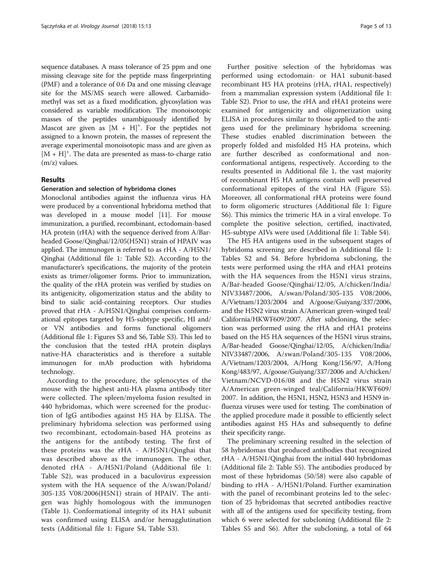sequence databases. A mass tolerance of 25 ppm and one missing cleavage site for the peptide mass fingerprinting (PMF) and a tolerance of 0.6 Da and one missing cleavage site for the MS/MS search were allowed. Carbamidomethyl was set as a fixed modification, glycosylation was considered as variable modification. The monoisotopic masses of the peptides unambiguously identified by Mascot are given as  $[M + H]^+$ . For the peptides not assigned to a known protein, the masses of represent the average experimental monoisotopic mass and are given as  $[M + H]^{+}$ . The data are presented as mass-to-charge ratio (m/z) values.

#### Results

#### Generation and selection of hybridoma clones

Monoclonal antibodies against the influenza virus HA were produced by a conventional hybridoma method that was developed in a mouse model [\[11](#page-11-0)]. For mouse immunization, a purified, recombinant, ectodomain-based HA protein (rHA) with the sequence derived from A/Barheaded Goose/Qinghai/12/05(H5N1) strain of HPAIV was applied. The immunogen is referred to as rHA - A/H5N1/ Qinghai (Additional file [1](#page-10-0): Table S2). According to the manufacturer's specifications, the majority of the protein exists as trimer/oligomer forms. Prior to immunization, the quality of the rHA protein was verified by studies on its antigenicity, oligomerization status and the ability to bind to sialic acid-containing receptors. Our studies proved that rHA - A/H5N1/Qinghai comprises conformational epitopes targeted by H5-subtype specific, HI and/ or VN antibodies and forms functional oligomers (Additional file [1](#page-10-0): Figures S3 and S6, Table S3). This led to the conclusion that the tested rHA protein displays native-HA characteristics and is therefore a suitable immunogen for mAb production with hybridoma technology.

According to the procedure, the splenocytes of the mouse with the highest anti-HA plasma antibody titer were collected. The spleen/myeloma fusion resulted in 440 hybridomas, which were screened for the production of IgG antibodies against H5 HA by ELISA. The preliminary hybridoma selection was performed using two recombinant, ectodomain-based HA proteins as the antigens for the antibody testing. The first of these proteins was the rHA - A/H5N1/Qinghai that was described above as the immunogen. The other, denoted rHA - A/H5N1/Poland (Additional file [1](#page-10-0): Table S2), was produced in a baculovirus expression system with the HA sequence of the A/swan/Poland/ 305-135 V08/2006(H5N1) strain of HPAIV. The antigen was highly homologous with the immunogen (Table [1\)](#page-5-0). Conformational integrity of its HA1 subunit was confirmed using ELISA and/or hemagglutination tests (Additional file [1](#page-10-0): Figure S4, Table S3).

Further positive selection of the hybridomas was performed using ectodomain- or HA1 subunit-based recombinant H5 HA proteins (rHA, rHA1, respectively) from a mammalian expression system (Additional file [1](#page-10-0): Table S2). Prior to use, the rHA and rHA1 proteins were examined for antigenicity and oligomerization using ELISA in procedures similar to those applied to the antigens used for the preliminary hybridoma screening. These studies enabled discrimination between the properly folded and misfolded H5 HA proteins, which are further described as conformational and nonconformational antigens, respectively. According to the results presented in Additional file [1,](#page-10-0) the vast majority of recombinant H5 HA antigens contain well preserved conformational epitopes of the viral HA (Figure S5). Moreover, all conformational rHA proteins were found to form oligomeric structures (Additional file [1](#page-10-0): Figure S6). This mimics the trimeric HA in a viral envelope. To complete the positive selection, certified, inactivated, H5-subtype AIVs were used (Additional file [1:](#page-10-0) Table S4).

The H5 HA antigens used in the subsequent stages of hybridoma screening are described in Additional file [1](#page-10-0): Tables S2 and S4. Before hybridoma subcloning, the tests were performed using the rHA and rHA1 proteins with the HA sequences from the H5N1 virus strains, A/Bar-headed Goose/Qinghai/12/05, A/chicken/India/ NIV33487/2006, A/swan/Poland/305-135 V08/2006, A/Vietnam/1203/2004 and A/goose/Guiyang/337/2006, and the H5N2 virus strain A/American green-winged teal/ California/HKWF609/2007. After subcloning, the selection was performed using the rHA and rHA1 proteins based on the H5 HA sequences of the H5N1 virus strains, A/Bar-headed Goose/Qinghai/12/05, A/chicken/India/ NIV33487/2006, A/swan/Poland/305-135 V08/2006, A/Vietnam/1203/2004, A/Hong Kong/156/97, A/Hong Kong/483/97, A/goose/Guiyang/337/2006 and A/chicken/ Vietnam/NCVD-016/08 and the H5N2 virus strain A/American green-winged teal/California/HKWF609/ 2007. In addition, the H5N1, H5N2, H5N3 and H5N9 influenza viruses were used for testing. The combination of the applied procedure made it possible to efficiently select antibodies against H5 HAs and subsequently to define their specificity range.

The preliminary screening resulted in the selection of 58 hybridomas that produced antibodies that recognized rHA - A/H5N1/Qinghai from the initial 440 hybridomas (Additional file [2:](#page-10-0) Table S5). The antibodies produced by most of these hybridomas (50/58) were also capable of binding to rHA - A/H5N1/Poland. Further examination with the panel of recombinant proteins led to the selection of 25 hybridomas that secreted antibodies reactive with all of the antigens used for specificity testing, from which 6 were selected for subcloning (Additional file [2](#page-10-0): Tables S5 and S6). After the subcloning, a total of 64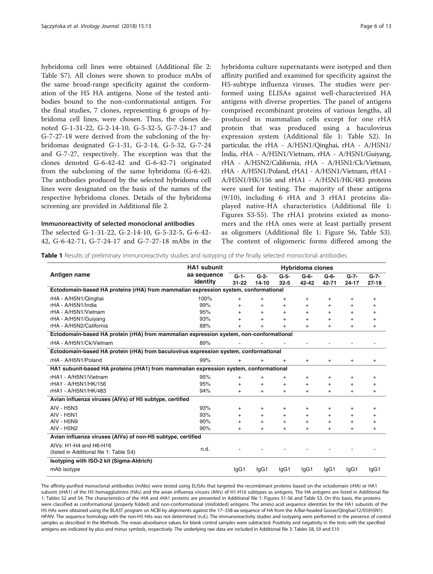<span id="page-5-0"></span>hybridoma cell lines were obtained (Additional file [2](#page-10-0): Table S7). All clones were shown to produce mAbs of the same broad-range specificity against the conformation of the H5 HA antigens. None of the tested antibodies bound to the non-conformational antigen. For the final studies, 7 clones, representing 6 groups of hybridoma cell lines, were chosen. Thus, the clones denoted G-1-31-22, G-2-14-10, G-5-32-5, G-7-24-17 and G-7-27-18 were derived from the subcloning of the hybridomas designated G-1-31, G-2-14, G-5-32, G-7-24 and G-7-27, respectively. The exception was that the clones denoted G-6-42-42 and G-6-42-71 originated from the subcloning of the same hybridoma (G-6-42). The antibodies produced by the selected hybridoma cell lines were designated on the basis of the names of the respective hybridoma clones. Details of the hybridoma screening are provided in Additional file [2.](#page-10-0)

#### Immunoreactivity of selected monoclonal antibodies

The selected G-1-31-22, G-2-14-10, G-5-32-5, G-6-42- 42, G-6-42-71, G-7-24-17 and G-7-27-18 mAbs in the hybridoma culture supernatants were isotyped and then affinity purified and examined for specificity against the H5-subtype influenza viruses. The studies were performed using ELISAs against well-characterized HA antigens with diverse properties. The panel of antigens comprised recombinant proteins of various lengths, all produced in mammalian cells except for one rHA protein that was produced using a baculovirus expression system (Additional file [1](#page-10-0): Table S2). In particular, the rHA - A/H5N1/Qinghai, rHA - A/H5N1/ India, rHA - A/H5N1/Vietnam, rHA - A/H5N1/Guiyang, rHA - A/H5N2/California, rHA - A/H5N1/Ck/Vietnam, rHA - A/H5N1/Poland, rHA1 - A/H5N1/Vietnam, rHA1 - A/H5N1/HK/156 and rHA1 - A/H5N1/HK/483 proteins were used for testing. The majority of these antigens (9/10), including 6 rHA and 3 rHA1 proteins displayed native-HA characteristics (Additional file [1](#page-10-0): Figures S3-S5). The rHA1 proteins existed as monomers and the rHA ones were at least partially present as oligomers (Additional file [1:](#page-10-0) Figure S6, Table S3). The content of oligomeric forms differed among the

Table 1 Results of preliminary immunoreactivity studies and isotyping of the finally selected monoclonal antibodies

| <b>HA1 subunit</b><br><b>Hybridoma clones</b>                                          |                         |                     |                                  |                    |                 |                 |                     |                   |  |  |
|----------------------------------------------------------------------------------------|-------------------------|---------------------|----------------------------------|--------------------|-----------------|-----------------|---------------------|-------------------|--|--|
| Antigen name                                                                           | aa seguence<br>identity | $G-1-$<br>$31 - 22$ | $G-2-$<br>$14 - 10$              | $G-5-$<br>$32 - 5$ | $G-6-$<br>42-42 | $G-6-$<br>42-71 | $G-7-$<br>$24 - 17$ | $G-7-$<br>$27-18$ |  |  |
| Ectodomain-based HA proteins (rHA) from mammalian expression system, conformational    |                         |                     |                                  |                    |                 |                 |                     |                   |  |  |
| rHA - A/H5N1/Qinghai                                                                   | 100%                    | $\ddot{}$           | $+$                              | $\ddot{}$          | $\ddot{}$       | $+$             | $^{+}$              | $\ddot{}$         |  |  |
| rHA - A/H5N1/India                                                                     | 99%                     | $\ddot{}$           | $\ddot{}$                        | $+$                | $\ddot{}$       | $\ddot{}$       | $+$                 | $\ddot{}$         |  |  |
| rHA - A/H5N1/Vietnam                                                                   | 95%                     | $\ddot{}$           | $^{+}$                           | $+$                | $\ddot{}$       | $+$             | $^{+}$              | $\ddot{}$         |  |  |
| rHA - A/H5N1/Guiyang                                                                   | 93%                     | $\ddot{}$           | $+$                              | $\ddot{}$          | $\ddot{}$       | $\ddot{}$       | $\ddot{}$           | $\ddot{}$         |  |  |
| rHA - A/H5N2/California                                                                | 88%                     | $\ddot{}$           | $+$                              | $^{+}$             | $\ddot{}$       | $+$             | $^{+}$              | $\ddot{}$         |  |  |
| Ectodomain-based HA protein (rHA) from mammalian expression system, non-conformational |                         |                     |                                  |                    |                 |                 |                     |                   |  |  |
| rHA - A/H5N1/Ck/Vietnam                                                                | 89%                     |                     |                                  |                    |                 |                 |                     |                   |  |  |
| Ectodomain-based HA protein (rHA) from baculovirus expression system, conformational   |                         |                     |                                  |                    |                 |                 |                     |                   |  |  |
| rHA - A/H5N1/Poland                                                                    | 99%                     | $\ddot{}$           | $\begin{array}{c} + \end{array}$ | $\ddot{}$          | $+$             | $\ddot{}$       | $\ddot{}$           | $\ddot{}$         |  |  |
| HA1 subunit-based HA proteins (rHA1) from mammalian expression system, conformational  |                         |                     |                                  |                    |                 |                 |                     |                   |  |  |
| rHA1 - A/H5N1/Vietnam                                                                  | 95%                     | $\ddot{}$           | $\ddot{}$                        | $\ddot{}$          | $\ddot{}$       | $+$             | $^{+}$              | $\hbox{ }$        |  |  |
| rHA1 - A/H5N1/HK/156                                                                   | 95%                     | $\ddot{}$           | $\ddot{}$                        | $+$                | $\ddot{}$       | $+$             | $^{+}$              | $\ddot{}$         |  |  |
| rHA1 - A/H5N1/HK/483                                                                   | 94%                     | $+$                 | $^{+}$                           | $+$                | $\ddot{}$       | $+$             | $^{+}$              | $+$               |  |  |
| Avian influenza viruses (AIVs) of H5 subtype, certified                                |                         |                     |                                  |                    |                 |                 |                     |                   |  |  |
| <b>AIV - H5N3</b>                                                                      | 93%                     | $\ddot{}$           | $+$                              | $\ddot{}$          | $\ddot{}$       | $\ddot{}$       | $\ddot{}$           | $\,{}^+$          |  |  |
| <b>AIV - H5N1</b>                                                                      | 93%                     | $\ddot{}$           | $+$                              | $\ddot{}$          | $\ddot{}$       | $\ddot{}$       | $^{+}$              | $\ddot{}$         |  |  |
| <b>AIV - H5N9</b>                                                                      | 90%                     | $^{+}$              | $+$                              | $+$                | $\ddot{}$       | $+$             | $+$                 | $\ddot{}$         |  |  |
| <b>AIV - H5N2</b>                                                                      | 90%                     | $\ddot{}$           | $^{+}$                           | $+$                | $\ddot{}$       | $+$             | $^{+}$              | $\ddot{}$         |  |  |
| Avian influenza viruses (AIVs) of non-H5 subtype, certified                            |                         |                     |                                  |                    |                 |                 |                     |                   |  |  |
| AIVs: H1-H4 and H6-H16<br>(listed in Additional file 1: Table S4)                      | n.d.                    |                     |                                  |                    |                 |                 |                     |                   |  |  |
| Isotyping with ISO-2 kit (Sigma-Aldrich)                                               |                         |                     |                                  |                    |                 |                 |                     |                   |  |  |
| mAb isotype                                                                            |                         | IgG1                | IgG1                             | IgG1               | IgG1            | lgG1            | IgG1                | IgG1              |  |  |

The affinity-purified monoclonal antibodies (mAbs) were tested using ELISAs that targeted the recombinant proteins based on the ectodomain (rHA) or HA1 subunit (rHA1) of the H5 hemagglutinins (HAs) and the avian influenza viruses (AIVs) of H1-H16 subtypes as antigens. The HA antigens are listed in Additional file [1](#page-10-0): Tables S2 and S4. The characteristics of the rHA and rHA1 proteins are presented in Additional file [1:](#page-10-0) Figures S1-S6 and Table S3. On this basis, the proteins were classified as conformational (properly folded) and non-conformational (misfolded) antigens. The amino acid sequence identities for the HA1 subunits of the H5 HAs were obtained using the BLAST program on NCBI by alignments against the 17–338-aa sequence of HA from the A/Bar-headed Goose/Qinghai/12/05(H5N1) HPAIV. The sequence homology with the non-H5 HAs was not determined (n.d.). The immunoreactivity studies and isotyping were performed in the presence of control samples as described in the Methods. The mean absorbance values for blank control samples were subtracted. Positivity and negativity in the tests with the specified antigens are indicated by plus and minus symbols, respectively. The underlying raw data are included in Additional file [3:](#page-10-0) Tables S8, S9 and S10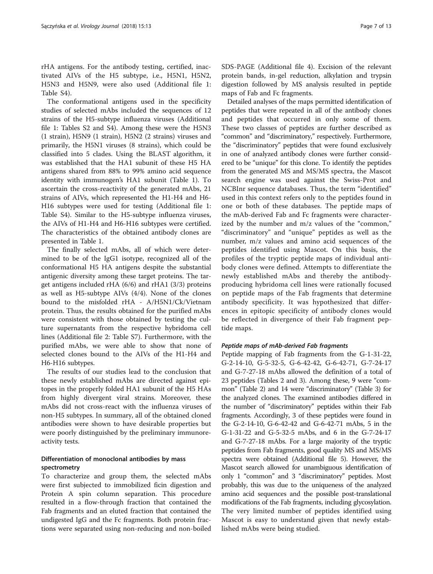rHA antigens. For the antibody testing, certified, inactivated AIVs of the H5 subtype, i.e., H5N1, H5N2, H5N3 and H5N9, were also used (Additional file [1](#page-10-0): Table S4).

The conformational antigens used in the specificity studies of selected mAbs included the sequences of 12 strains of the H5-subtype influenza viruses (Additional file [1:](#page-10-0) Tables S2 and S4). Among these were the H5N3 (1 strain), H5N9 (1 strain), H5N2 (2 strains) viruses and primarily, the H5N1 viruses (8 strains), which could be classified into 5 clades. Using the BLAST algorithm, it was established that the HA1 subunit of these H5 HA antigens shared from 88% to 99% amino acid sequence identity with immunogen's HA1 subunit (Table [1\)](#page-5-0). To ascertain the cross-reactivity of the generated mAbs, 21 strains of AIVs, which represented the H1-H4 and H6- H16 subtypes were used for testing (Additional file [1](#page-10-0): Table S4). Similar to the H5-subtype influenza viruses, the AIVs of H1-H4 and H6-H16 subtypes were certified. The characteristics of the obtained antibody clones are presented in Table [1](#page-5-0).

The finally selected mAbs, all of which were determined to be of the IgG1 isotype, recognized all of the conformational H5 HA antigens despite the substantial antigenic diversity among these target proteins. The target antigens included rHA (6/6) and rHA1 (3/3) proteins as well as H5-subtype AIVs (4/4). None of the clones bound to the misfolded rHA - A/H5N1/Ck/Vietnam protein. Thus, the results obtained for the purified mAbs were consistent with those obtained by testing the culture supernatants from the respective hybridoma cell lines (Additional file [2](#page-10-0): Table S7). Furthermore, with the purified mAbs, we were able to show that none of selected clones bound to the AIVs of the H1-H4 and H6-H16 subtypes.

The results of our studies lead to the conclusion that these newly established mAbs are directed against epitopes in the properly folded HA1 subunit of the H5 HAs from highly divergent viral strains. Moreover, these mAbs did not cross-react with the influenza viruses of non-H5 subtypes. In summary, all of the obtained cloned antibodies were shown to have desirable properties but were poorly distinguished by the preliminary immunoreactivity tests.

#### Differentiation of monoclonal antibodies by mass spectrometry

To characterize and group them, the selected mAbs were first subjected to immobilized ficin digestion and Protein A spin column separation. This procedure resulted in a flow-through fraction that contained the Fab fragments and an eluted fraction that contained the undigested IgG and the Fc fragments. Both protein fractions were separated using non-reducing and non-boiled SDS-PAGE (Additional file [4\)](#page-10-0). Excision of the relevant protein bands, in-gel reduction, alkylation and trypsin digestion followed by MS analysis resulted in peptide maps of Fab and Fc fragments.

Detailed analyses of the maps permitted identification of peptides that were repeated in all of the antibody clones and peptides that occurred in only some of them. These two classes of peptides are further described as "common" and "discriminatory," respectively. Furthermore, the "discriminatory" peptides that were found exclusively in one of analyzed antibody clones were further considered to be "unique" for this clone. To identify the peptides from the generated MS and MS/MS spectra, the Mascot search engine was used against the Swiss-Prot and NCBInr sequence databases. Thus, the term "identified" used in this context refers only to the peptides found in one or both of these databases. The peptide maps of the mAb-derived Fab and Fc fragments were characterized by the number and m/z values of the "common," "discriminatory" and "unique" peptides as well as the number, m/z values and amino acid sequences of the peptides identified using Mascot. On this basis, the profiles of the tryptic peptide maps of individual antibody clones were defined. Attempts to differentiate the newly established mAbs and thereby the antibodyproducing hybridoma cell lines were rationally focused on peptide maps of the Fab fragments that determine antibody specificity. It was hypothesized that differences in epitopic specificity of antibody clones would be reflected in divergence of their Fab fragment peptide maps.

#### Peptide maps of mAb-derived Fab fragments

Peptide mapping of Fab fragments from the G-1-31-22, G-2-14-10, G-5-32-5, G-6-42-42, G-6-42-71, G-7-24-17 and G-7-27-18 mAbs allowed the definition of a total of 23 peptides (Tables [2](#page-7-0) and [3\)](#page-8-0). Among these, 9 were "common" (Table [2](#page-7-0)) and 14 were "discriminatory" (Table [3\)](#page-8-0) for the analyzed clones. The examined antibodies differed in the number of "discriminatory" peptides within their Fab fragments. Accordingly, 3 of these peptides were found in the G-2-14-10, G-6-42-42 and G-6-42-71 mAbs, 5 in the G-1-31-22 and G-5-32-5 mAbs, and 6 in the G-7-24-17 and G-7-27-18 mAbs. For a large majority of the tryptic peptides from Fab fragments, good quality MS and MS/MS spectra were obtained (Additional file [5](#page-10-0)). However, the Mascot search allowed for unambiguous identification of only 1 "common" and 3 "discriminatory" peptides. Most probably, this was due to the uniqueness of the analyzed amino acid sequences and the possible post-translational modifications of the Fab fragments, including glycosylation. The very limited number of peptides identified using Mascot is easy to understand given that newly established mAbs were being studied.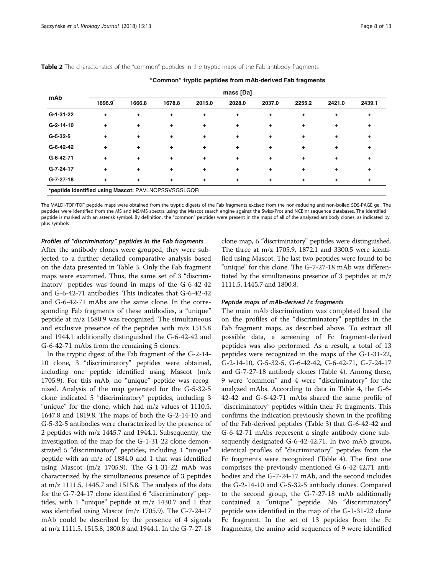| Page 8 of 1 |  |  |
|-------------|--|--|
|-------------|--|--|

|            |           |           |           |           |           | "Common" tryptic peptides from mAb-derived Fab fragments |           |        |        |
|------------|-----------|-----------|-----------|-----------|-----------|----------------------------------------------------------|-----------|--------|--------|
|            |           |           |           |           | mass [Da] |                                                          |           |        |        |
| mAb        | 1696.9    | 1666.8    | 1678.8    | 2015.0    | 2028.0    | 2037.0                                                   | 2255.2    | 2421.0 | 2439.1 |
| G-1-31-22  | ÷         | ÷         | ÷         | $\ddot{}$ | $\ddot{}$ | $\ddot{}$                                                | $\ddot{}$ | ÷      | ÷      |
| G-2-14-10  | $\ddot{}$ | $\ddot{}$ | ÷         | ٠         | ٠         | $\ddot{}$                                                | $\ddot{}$ | ÷      | ÷      |
| $G-5-32-5$ | $\ddot{}$ | ÷         | $\ddot{}$ | ٠         | ٠         | ÷                                                        | ÷         | ÷      | ÷.     |
| G-6-42-42  | ÷         | $\ddot{}$ | ÷         | ٠         | $\ddot{}$ | $\ddot{}$                                                | ÷         | ÷      | ÷      |
| G-6-42-71  | ÷         | $\ddot{}$ | ÷         | ٠         | ÷         | $\ddot{}$                                                | ÷         | ÷      | ÷      |
| G-7-24-17  | ÷         | $\ddot{}$ | ÷         | ٠         | ÷         | $\ddot{}$                                                | ÷         | ٠      | ÷      |
| G-7-27-18  | ÷         | ÷         | ÷         | ٠         | ٠         | ٠                                                        | ÷         | ÷      | ٠      |

<span id="page-7-0"></span>Table 2 The characteristics of the "common" peptides in the tryptic maps of the Fab antibody fragments

The MALDI-TOF/TOF peptide maps were obtained from the tryptic digests of the Fab fragments excised from the non-reducing and non-boiled SDS-PAGE gel. The peptides were identified from the MS and MS/MS spectra using the Mascot search engine against the Swiss-Prot and NCBInr sequence databases. The identified peptide is marked with an asterisk symbol. By definition, the "common" peptides were present in the maps of all of the analyzed antibody clones, as indicated by plus symbols

#### Profiles of "discriminatory" peptides in the Fab fragments

After the antibody clones were grouped, they were subjected to a further detailed comparative analysis based on the data presented in Table [3](#page-8-0). Only the Fab fragment maps were examined. Thus, the same set of 3 "discriminatory" peptides was found in maps of the G-6-42-42 and G-6-42-71 antibodies. This indicates that G-6-42-42 and G-6-42-71 mAbs are the same clone. In the corresponding Fab fragments of these antibodies, a "unique" peptide at m/z 1580.9 was recognized. The simultaneous and exclusive presence of the peptides with m/z 1515.8 and 1944.1 additionally distinguished the G-6-42-42 and G-6-42-71 mAbs from the remaining 5 clones.

In the tryptic digest of the Fab fragment of the G-2-14- 10 clone, 3 "discriminatory" peptides were obtained, including one peptide identified using Mascot (m/z 1705.9). For this mAb, no "unique" peptide was recognized. Analysis of the map generated for the G-5-32-5 clone indicated 5 "discriminatory" peptides, including 3 "unique" for the clone, which had m/z values of 1110.5, 1647.8 and 1819.8. The maps of both the G-2-14-10 and G-5-32-5 antibodies were characterized by the presence of 2 peptides with m/z 1445.7 and 1944.1. Subsequently, the investigation of the map for the G-1-31-22 clone demonstrated 5 "discriminatory" peptides, including 1 "unique" peptide with an m/z of 1884.0 and 1 that was identified using Mascot (m/z 1705.9). The G-1-31-22 mAb was characterized by the simultaneous presence of 3 peptides at m/z 1111.5, 1445.7 and 1515.8. The analysis of the data for the G-7-24-17 clone identified 6 "discriminatory" peptides, with 1 "unique" peptide at m/z 1430.7 and 1 that was identified using Mascot (m/z 1705.9). The G-7-24-17 mAb could be described by the presence of 4 signals at m/z 1111.5, 1515.8, 1800.8 and 1944.1. In the G-7-27-18 clone map, 6 "discriminatory" peptides were distinguished. The three at m/z 1705.9, 1872.1 and 3300.5 were identified using Mascot. The last two peptides were found to be "unique" for this clone. The G-7-27-18 mAb was differentiated by the simultaneous presence of 3 peptides at m/z 1111.5, 1445.7 and 1800.8.

#### Peptide maps of mAb-derived Fc fragments

The main mAb discrimination was completed based the on the profiles of the "discriminatory" peptides in the Fab fragment maps, as described above. To extract all possible data, a screening of Fc fragment-derived peptides was also performed. As a result, a total of 13 peptides were recognized in the maps of the G-1-31-22, G-2-14-10, G-5-32-5, G-6-42-42, G-6-42-71, G-7-24-17 and G-7-27-18 antibody clones (Table [4](#page-8-0)). Among these, 9 were "common" and 4 were "discriminatory" for the analyzed mAbs. According to data in Table [4](#page-8-0), the G-6- 42-42 and G-6-42-71 mAbs shared the same profile of "discriminatory" peptides within their Fc fragments. This confirms the indication previously shown in the profiling of the Fab-derived peptides (Table [3\)](#page-8-0) that G-6-42-42 and G-6-42-71 mAbs represent a single antibody clone subsequently designated G-6-42-42,71. In two mAb groups, identical profiles of "discriminatory" peptides from the Fc fragments were recognized (Table [4\)](#page-8-0). The first one comprises the previously mentioned G-6-42-42,71 antibodies and the G-7-24-17 mAb, and the second includes the G-2-14-10 and G-5-32-5 antibody clones. Compared to the second group, the G-7-27-18 mAb additionally contained a "unique" peptide. No "discriminatory" peptide was identified in the map of the G-1-31-22 clone Fc fragment. In the set of 13 peptides from the Fc fragments, the amino acid sequences of 9 were identified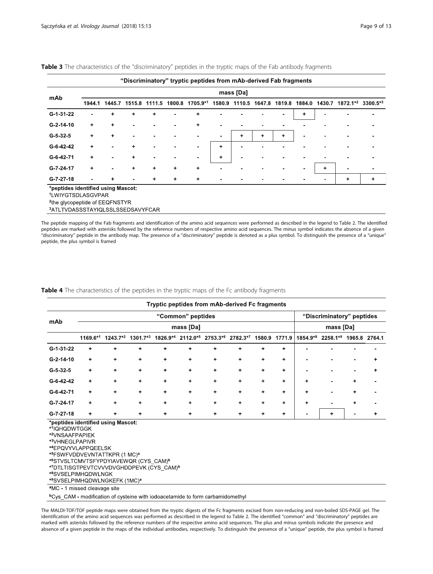|  | Page 9 of 13 |  |  |  |
|--|--------------|--|--|--|
|--|--------------|--|--|--|

| "Discriminatory" tryptic peptides from mAb-derived Fab fragments                                                                                      |           |        |        |        |        |                |                |               |        |                |        |                |          |            |
|-------------------------------------------------------------------------------------------------------------------------------------------------------|-----------|--------|--------|--------|--------|----------------|----------------|---------------|--------|----------------|--------|----------------|----------|------------|
|                                                                                                                                                       | mass [Da] |        |        |        |        |                |                |               |        |                |        |                |          |            |
| mAb                                                                                                                                                   | 1944.1    | 1445.7 | 1515.8 | 1111.5 | 1800.8 | 1705.9*1       |                | 1580.9 1110.5 | 1647.8 | 1819.8         | 1884.0 | 1430.7         | 1872.1*2 | $3300.5*3$ |
| G-1-31-22                                                                                                                                             | ÷         | ٠      | ٠      | ٠      |        | ٠              |                |               |        | $\blacksquare$ | ٠      |                |          |            |
| G-2-14-10                                                                                                                                             | ٠         | ٠      |        |        |        | ٠              |                |               |        |                |        |                |          |            |
| $G-5-32-5$                                                                                                                                            | ٠         | ٠      |        |        |        |                | $\blacksquare$ | ٠             | ٠      | ٠              |        |                |          |            |
| G-6-42-42                                                                                                                                             | ٠         |        | ٠      |        |        | ÷              | ÷              |               |        |                |        |                |          |            |
| G-6-42-71                                                                                                                                             | ÷         |        | ٠      |        |        | $\blacksquare$ | ٠              |               |        |                |        |                |          |            |
| G-7-24-17                                                                                                                                             | ٠         |        | ٠      | ٠      | ٠      | ٠              |                |               |        |                |        | ٠              |          |            |
| G-7-27-18                                                                                                                                             | ۰         | ٠      |        | ٠      | ٠      | ٠              |                |               |        |                |        | $\blacksquare$ | ٠        | ٠          |
| *peptides identified using Mascot:<br><sup>1</sup> LWIYGTSDLASGVPAR<br><sup>2</sup> the glycopeptide of EEQFNSTYR<br>3ATLTVDASSSTAYIQLSSLSSEDSAVYFCAR |           |        |        |        |        |                |                |               |        |                |        |                |          |            |

### <span id="page-8-0"></span>Table 3 The characteristics of the "discriminatory" peptides in the tryptic maps of the Fab antibody fragments

The peptide mapping of the Fab fragments and identification of the amino acid sequences were performed as described in the legend to Table [2.](#page-7-0) The identified peptides are marked with asterisks followed by the reference numbers of respective amino acid sequences. The minus symbol indicates the absence of a given "discriminatory" peptide in the antibody map. The presence of a "discriminatory" peptide is denoted as a plus symbol. To distinguish the presence of a "unique" peptide, the plus symbol is framed

|                                                                                                                                                                                                                                                                                                                                                     |                                                        |    |    |    |           |   | Tryptic peptides from mAb-derived Fc fragments                               |   |   |                |                                 |    |   |
|-----------------------------------------------------------------------------------------------------------------------------------------------------------------------------------------------------------------------------------------------------------------------------------------------------------------------------------------------------|--------------------------------------------------------|----|----|----|-----------|---|------------------------------------------------------------------------------|---|---|----------------|---------------------------------|----|---|
| mAb                                                                                                                                                                                                                                                                                                                                                 | "Discriminatory" peptides<br>"Common" peptides         |    |    |    |           |   |                                                                              |   |   |                |                                 |    |   |
|                                                                                                                                                                                                                                                                                                                                                     |                                                        |    |    |    | mass [Da] |   |                                                                              |   |   |                |                                 |    |   |
|                                                                                                                                                                                                                                                                                                                                                     |                                                        |    |    |    |           |   | 1169.6*1 1243.7*2 1301.7*3 1826.9*4 2112.0*5 2753.3*6 2782.3*7 1580.9 1771.9 |   |   |                | 1854.9*8 2258.1*9 1965.8 2764.1 |    |   |
| G-1-31-22                                                                                                                                                                                                                                                                                                                                           | ÷.                                                     | ٠  | ÷  | ÷  | ÷         | ٠ | ٠                                                                            | ٠ | ÷ |                |                                 |    |   |
| G-2-14-10                                                                                                                                                                                                                                                                                                                                           | ٠                                                      | ٠  | ٠  | ٠  | ٠         | ٠ | ٠                                                                            | ٠ | ٠ |                |                                 |    | ٠ |
| $G-5-32-5$                                                                                                                                                                                                                                                                                                                                          | ÷.                                                     | ÷. | ÷  | ÷  | ٠         | ٠ | ٠                                                                            | ÷ | ٠ |                |                                 |    | ٠ |
| $G-6-42-42$                                                                                                                                                                                                                                                                                                                                         | ÷.<br>٠<br>٠<br>÷.<br>٠<br>÷<br>٠<br>٠<br>÷.<br>٠<br>٠ |    |    |    |           |   |                                                                              |   |   |                |                                 |    |   |
| G-6-42-71                                                                                                                                                                                                                                                                                                                                           | ٠<br>٠<br>٠<br>٠<br>÷.<br>٠<br>٠<br>٠<br>٠<br>٠<br>٠   |    |    |    |           |   |                                                                              |   |   |                |                                 |    |   |
| G-7-24-17                                                                                                                                                                                                                                                                                                                                           | ٠                                                      | ٠  | ٠  | ٠  | ٠         | ٠ | ٠                                                                            | ٠ | ۰ | ٠              |                                 | ۰  |   |
| $G - 7 - 27 - 18$                                                                                                                                                                                                                                                                                                                                   | ÷.                                                     | ٠  | ÷. | ÷. | ٠         | ٠ | ٠                                                                            | ٠ | ٠ | $\blacksquare$ | ٠                               | ä, | ٠ |
| *peptides identified using Mascot:<br>* <sup>1</sup> IQHQDWTGGK<br>* <sup>2</sup> VNSAAFPAPIEK<br>*3VHNEGLPAPIVR<br>*4EPQVYVLAPPQEELSK<br>*5FSWFVDDVEVNTATTKPR (1 MC) <sup>a</sup><br>*6STVSLTCMVTSFYPDYIAVEWQR (CYS_CAM) <sup>b</sup><br>*7DTLTISGTPEVTCVVVDVGHDDPEVK (CYS CAM)b<br>*8SVSELPIMHQDWLNGK<br>*9SVSELPIMHQDWLNGKEFK (1MC) <sup>a</sup> |                                                        |    |    |    |           |   |                                                                              |   |   |                |                                 |    |   |
| <sup>a</sup> MC - 1 missed cleavage site                                                                                                                                                                                                                                                                                                            |                                                        |    |    |    |           |   |                                                                              |   |   |                |                                 |    |   |
| <sup>b</sup> Cys CAM - modification of cysteine with iodoacetamide to form carbamidomethyl                                                                                                                                                                                                                                                          |                                                        |    |    |    |           |   |                                                                              |   |   |                |                                 |    |   |

#### Table 4 The characteristics of the peptides in the tryptic maps of the Fc antibody fragments

The MALDI-TOF/TOF peptide maps were obtained from the tryptic digests of the Fc fragments excised from non-reducing and non-boiled SDS-PAGE gel. The identification of the amino acid sequences was performed as described in the legend to Table [2.](#page-7-0) The identified "common" and "discriminatory" peptides are marked with asterisks followed by the reference numbers of the respective amino acid sequences. The plus and minus symbols indicate the presence and absence of a given peptide in the maps of the individual antibodies, respectively. To distinguish the presence of a "unique" peptide, the plus symbol is framed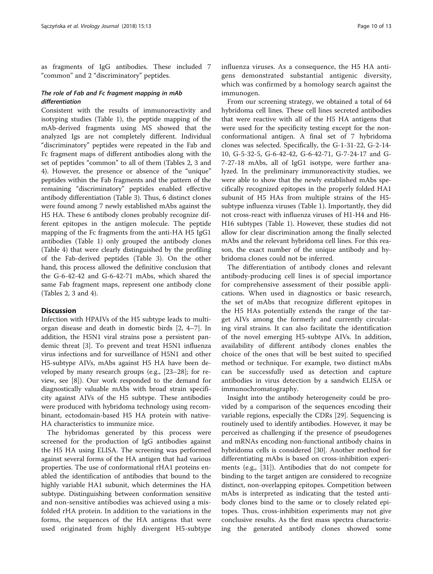as fragments of IgG antibodies. These included 7 "common" and 2 "discriminatory" peptides.

#### The role of Fab and Fc fragment mapping in mAb differentiation

Consistent with the results of immunoreactivity and isotyping studies (Table [1\)](#page-5-0), the peptide mapping of the mAb-derived fragments using MS showed that the analyzed Igs are not completely different. Individual "discriminatory" peptides were repeated in the Fab and Fc fragment maps of different antibodies along with the set of peptides "common" to all of them (Tables [2](#page-7-0), [3](#page-8-0) and [4\)](#page-8-0). However, the presence or absence of the "unique" peptides within the Fab fragments and the pattern of the remaining "discriminatory" peptides enabled effective antibody differentiation (Table [3](#page-8-0)). Thus, 6 distinct clones were found among 7 newly established mAbs against the H5 HA. These 6 antibody clones probably recognize different epitopes in the antigen molecule. The peptide mapping of the Fc fragments from the anti-HA H5 IgG1 antibodies (Table [1](#page-5-0)) only grouped the antibody clones (Table [4](#page-8-0)) that were clearly distinguished by the profiling of the Fab-derived peptides (Table [3\)](#page-8-0). On the other hand, this process allowed the definitive conclusion that the G-6-42-42 and G-6-42-71 mAbs, which shared the same Fab fragment maps, represent one antibody clone (Tables [2,](#page-7-0) [3](#page-8-0) and [4](#page-8-0)).

#### **Discussion**

Infection with HPAIVs of the H5 subtype leads to multiorgan disease and death in domestic birds [\[2, 4](#page-11-0)–[7](#page-11-0)]. In addition, the H5N1 viral strains pose a persistent pandemic threat [[3\]](#page-11-0). To prevent and treat H5N1 influenza virus infections and for surveillance of H5N1 and other H5-subtype AIVs, mAbs against H5 HA have been developed by many research groups (e.g., [\[23](#page-11-0)–[28\]](#page-12-0); for review, see [[8](#page-11-0)]). Our work responded to the demand for diagnostically valuable mAbs with broad strain specificity against AIVs of the H5 subtype. These antibodies were produced with hybridoma technology using recombinant, ectodomain-based H5 HA protein with native-HA characteristics to immunize mice.

The hybridomas generated by this process were screened for the production of IgG antibodies against the H5 HA using ELISA. The screening was performed against several forms of the HA antigen that had various properties. The use of conformational rHA1 proteins enabled the identification of antibodies that bound to the highly variable HA1 subunit, which determines the HA subtype. Distinguishing between conformation sensitive and non-sensitive antibodies was achieved using a misfolded rHA protein. In addition to the variations in the forms, the sequences of the HA antigens that were used originated from highly divergent H5-subtype

influenza viruses. As a consequence, the H5 HA antigens demonstrated substantial antigenic diversity, which was confirmed by a homology search against the immunogen.

From our screening strategy, we obtained a total of 64 hybridoma cell lines. These cell lines secreted antibodies that were reactive with all of the H5 HA antigens that were used for the specificity testing except for the nonconformational antigen. A final set of 7 hybridoma clones was selected. Specifically, the G-1-31-22, G-2-14- 10, G-5-32-5, G-6-42-42, G-6-42-71, G-7-24-17 and G-7-27-18 mAbs, all of IgG1 isotype, were further analyzed. In the preliminary immunoreactivity studies, we were able to show that the newly established mAbs specifically recognized epitopes in the properly folded HA1 subunit of H5 HAs from multiple strains of the H5 subtype influenza viruses (Table [1](#page-5-0)). Importantly, they did not cross-react with influenza viruses of H1-H4 and H6- H16 subtypes (Table [1](#page-5-0)). However, these studies did not allow for clear discrimination among the finally selected mAbs and the relevant hybridoma cell lines. For this reason, the exact number of the unique antibody and hybridoma clones could not be inferred.

The differentiation of antibody clones and relevant antibody-producing cell lines is of special importance for comprehensive assessment of their possible applications. When used in diagnostics or basic research, the set of mAbs that recognize different epitopes in the H5 HAs potentially extends the range of the target AIVs among the formerly and currently circulating viral strains. It can also facilitate the identification of the novel emerging H5-subtype AIVs. In addition, availability of different antibody clones enables the choice of the ones that will be best suited to specified method or technique. For example, two distinct mAbs can be successfully used as detection and capture antibodies in virus detection by a sandwich ELISA or immunochromatography.

Insight into the antibody heterogeneity could be provided by a comparison of the sequences encoding their variable regions, especially the CDRs [[29](#page-12-0)]. Sequencing is routinely used to identify antibodies. However, it may be perceived as challenging if the presence of pseudogenes and mRNAs encoding non-functional antibody chains in hybridoma cells is considered [\[30\]](#page-12-0). Another method for differentiating mAbs is based on cross-inhibition experiments (e.g., [\[31\]](#page-12-0)). Antibodies that do not compete for binding to the target antigen are considered to recognize distinct, non-overlapping epitopes. Competition between mAbs is interpreted as indicating that the tested antibody clones bind to the same or to closely related epitopes. Thus, cross-inhibition experiments may not give conclusive results. As the first mass spectra characterizing the generated antibody clones showed some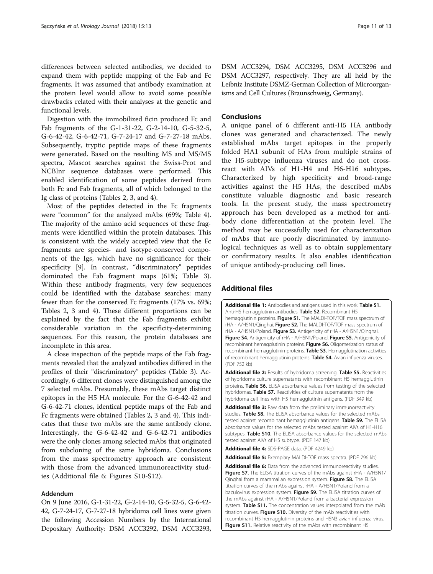<span id="page-10-0"></span>differences between selected antibodies, we decided to expand them with peptide mapping of the Fab and Fc fragments. It was assumed that antibody examination at the protein level would allow to avoid some possible drawbacks related with their analyses at the genetic and functional levels.

Digestion with the immobilized ficin produced Fc and Fab fragments of the G-1-31-22, G-2-14-10, G-5-32-5, G-6-42-42, G-6-42-71, G-7-24-17 and G-7-27-18 mAbs. Subsequently, tryptic peptide maps of these fragments were generated. Based on the resulting MS and MS/MS spectra, Mascot searches against the Swiss-Prot and NCBInr sequence databases were performed. This enabled identification of some peptides derived from both Fc and Fab fragments, all of which belonged to the Ig class of proteins (Tables [2,](#page-7-0) [3,](#page-8-0) and [4\)](#page-8-0).

Most of the peptides detected in the Fc fragments were "common" for the analyzed mAbs (69%; Table [4](#page-8-0)). The majority of the amino acid sequences of these fragments were identified within the protein databases. This is consistent with the widely accepted view that the Fc fragments are species- and isotype-conserved components of the Igs, which have no significance for their specificity [\[9](#page-11-0)]. In contrast, "discriminatory" peptides dominated the Fab fragment maps (61%; Table [3](#page-8-0)). Within these antibody fragments, very few sequences could be identified with the database searches: many fewer than for the conserved Fc fragments (17% vs. 69%; Tables [2,](#page-7-0) [3](#page-8-0) and [4](#page-8-0)). These different proportions can be explained by the fact that the Fab fragments exhibit considerable variation in the specificity-determining sequences. For this reason, the protein databases are incomplete in this area.

A close inspection of the peptide maps of the Fab fragments revealed that the analyzed antibodies differed in the profiles of their "discriminatory" peptides (Table [3\)](#page-8-0). Accordingly, 6 different clones were distinguished among the 7 selected mAbs. Presumably, these mAbs target distinct epitopes in the H5 HA molecule. For the G-6-42-42 and G-6-42-71 clones, identical peptide maps of the Fab and Fc fragments were obtained (Tables [2](#page-7-0), [3](#page-8-0) and [4\)](#page-8-0). This indicates that these two mAbs are the same antibody clone. Interestingly, the G-6-42-42 and G-6-42-71 antibodies were the only clones among selected mAbs that originated from subcloning of the same hybridoma. Conclusions from the mass spectrometry approach are consistent with those from the advanced immunoreactivity studies (Additional file 6: Figures S10-S12).

#### Addendum

On 9 June 2016, G-1-31-22, G-2-14-10, G-5-32-5, G-6-42- 42, G-7-24-17, G-7-27-18 hybridoma cell lines were given the following Accession Numbers by the International Depositary Authority: DSM ACC3292, DSM ACC3293,

DSM ACC3294, DSM ACC3295, DSM ACC3296 and DSM ACC3297, respectively. They are all held by the Leibniz Institute DSMZ-German Collection of Microorganisms and Cell Cultures (Braunschweig, Germany).

#### Conclusions

A unique panel of 6 different anti-H5 HA antibody clones was generated and characterized. The newly established mAbs target epitopes in the properly folded HA1 subunit of HAs from multiple strains of the H5-subtype influenza viruses and do not crossreact with AIVs of H1-H4 and H6-H16 subtypes. Characterized by high specificity and broad-range activities against the H5 HAs, the described mAbs constitute valuable diagnostic and basic research tools. In the present study, the mass spectrometry approach has been developed as a method for antibody clone differentiation at the protein level. The method may be successfully used for characterization of mAbs that are poorly discriminated by immunological techniques as well as to obtain supplementary or confirmatory results. It also enables identification of unique antibody-producing cell lines.

#### Additional files

[Additional file 1:](dx.doi.org/10.1186/s12985-017-0886-2) Antibodies and antigens used in this work. Table S1. Anti-H5 hemagglutinin antibodies. Table S2. Recombinant H5 hemagglutinin proteins. Figure S1. The MALDI-TOF/TOF mass spectrum of rHA - A/H5N1/Qinghai. Figure S2. The MALDI-TOF/TOF mass spectrum of rHA - A/H5N1/Poland. Figure S3. Antigenicity of rHA - A/H5N1/Qinghai. Figure S4. Antigenicity of rHA - A/H5N1/Poland. Figure S5. Antigenicity of recombinant hemagglutinin proteins. Figure S6. Oligomerization status of recombinant hemagglutinin proteins. Table S3. Hemagglutination activities of recombinant hemagglutinin proteins. Table S4. Avian influenza viruses. (PDF 752 kb)

[Additional file 2:](dx.doi.org/10.1186/s12985-017-0886-2) Results of hybridoma screening. Table S5. Reactivities of hybridoma culture supernatants with recombinant H5 hemagglutinin proteins. Table S6. ELISA absorbance values from testing of the selected hybridomas. Table S7. Reactivities of culture supernatants from the hybridoma cell lines with H5 hemagglutinin antigens. (PDF 349 kb)

[Additional file 3:](dx.doi.org/10.1186/s12985-017-0886-2) Raw data from the preliminary immunoreactivity studies. Table S8. The ELISA absorbance values for the selected mAbs tested against recombinant hemagglutinin antigens. Table S9. The ELISA absorbance values for the selected mAbs tested against AIVs of H1-H16 subtypes. Table S10. The ELISA absorbance values for the selected mAbs tested against AIVs of H5 subtype. (PDF 147 kb)

[Additional file 4:](dx.doi.org/10.1186/s12985-017-0886-2) SDS-PAGE data. (PDF 4249 kb)

[Additional file 5:](dx.doi.org/10.1186/s12985-017-0886-2) Exemplary MALDI-TOF mass spectra. (PDF 796 kb)

[Additional file 6:](dx.doi.org/10.1186/s12985-017-0886-2) Data from the advanced immunoreactivity studies. Figure S7. The ELISA titration curves of the mAbs against rHA - A/H5N1/ Qinghai from a mammalian expression system. Figure S8. The ELISA titration curves of the mAbs against rHA - A/H5N1/Poland from a baculovirus expression system. Figure S9. The ELISA titration curves of the mAbs against rHA - A/H5N1/Poland from a bacterial expression system. Table S11. The concentration values interpolated from the mAb titration curves. Figure S10. Diversity of the mAb reactivities with recombinant H5 hemagglutinin proteins and H5N3 avian influenza virus. Figure S11. Relative reactivity of the mAbs with recombinant H5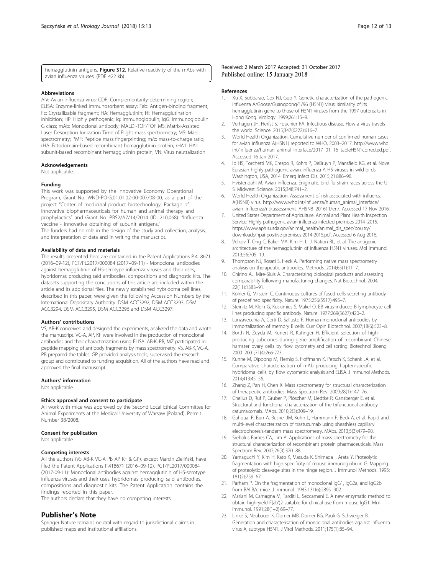<span id="page-11-0"></span>hemagglutinin antigens. Figure S12. Relative reactivity of the mAbs with avian influenza viruses. (PDF 422 kb)

#### Abbreviations

AIV: Avian influenza virus; CDR: Complementarity-determining region; ELISA: Enzyme-linked immunosorbent assay; Fab: Antigen-binding fragment; Fc: Crystallizable fragment; HA: Hemagglutinin; HI: Hemagglutination inhibition; HP: Highly pathogenic; Ig: Immunoglobulin; IgG: Immunoglobulin G class; mAb: Monoclonal antibody; MALDI-TOF/TOF MS: Matrix-Assisted Laser Desorption Ionization Time of Flight mass spectrometry; MS: Mass spectrometry; PMF: Peptide mass fingerprinting; m/z: mass-to-charge ratio; rHA: Ectodomain-based recombinant hemagglutinin protein; rHA1: HA1 subunit-based recombinant hemagglutinin protein; VN: Virus neutralization

#### Acknowledgements

Not applicable.

#### Funding

This work was supported by the Innovative Economy Operational Program, Grant No. WND-POIG.01.01.02-00-007/08-00, as a part of the project "Center of medicinal product biotechnology. Package of innovative biopharmaceuticals for human and animal therapy and prophylactics" and Grant No. PBS2/A7/14/2014 (ID: 210,068): "Influenza vaccine - innovative obtaining of subunit antigens." The funders had no role in the design of the study and collection, analysis, and interpretation of data and in writing the manuscript.

#### Availability of data and materials

The results presented here are contained in the Patent Applications P.418671 (2016–09-12), PCT/PL2017/000084 (2017–09-11) - Monoclonal antibodies against hemagglutinin of H5-serotype influenza viruses and their uses, hybridomas producing said antibodies, compositions and diagnostic kits. The datasets supporting the conclusions of this article are included within the article and its additional files. The newly established hybridoma cell lines, described in this paper, were given the following Accession Numbers by the International Depositary Authority: DSM ACC3292, DSM ACC3293, DSM ACC3294, DSM ACC3295, DSM ACC3296 and DSM ACC3297.

#### Authors' contributions

VS, AB-K conceived and designed the experiments, analyzed the data and wrote the manuscript. VC-A, AP, KF were involved in the production of monoclonal antibodies and their characterization using ELISA. AB-K, PB, MZ participated in peptide mapping of antibody fragments by mass spectrometry. VS, AB-K, VC-A, PB prepared the tables. GP provided analysis tools, supervised the research group and contributed to funding acquisition. All of the authors have read and approved the final manuscript.

#### Authors' information

Not applicable.

#### Ethics approval and consent to participate

All work with mice was approved by the Second Local Ethical Committee for Animal Experiments at the Medical University of Warsaw (Poland), Permit Number 38/2008.

#### Consent for publication

Not applicable.

#### Competing interests

All the authors (VS AB-K VC-A PB AP KF & GP), except Marcin Zieliński, have filed the Patent Applications P.418671 (2016–09-12), PCT/PL2017/000084 (2017-09-11): Monoclonal antibodies against hemagglutinin of H5-serotype influenza viruses and their uses, hybridomas producing said antibodies, compositions and diagnostic kits. The Patent Application contains the findings reported in this paper.

The authors declare that they have no competing interests.

#### Publisher's Note

Springer Nature remains neutral with regard to jurisdictional claims in published maps and institutional affiliations.

#### Received: 2 March 2017 Accepted: 31 October 2017 Published online: 15 January 2018

#### References

- 1. Xu X, Subbarao, Cox NJ, Guo Y. Genetic characterization of the pathogenic influenza A/Goose/Guangdong/1/96 (H5N1) virus: similarity of its hemagglutinin gene to those of H5N1 viruses from the 1997 outbreaks in Hong Kong. Virology. 1999;261:15–9.
- 2. Verhagen JH, Herfst S, Fouchier RA. Infectious disease. How a virus travels the world. Science. 2015;347(6222):616–7.
- 3. World Health Organization. Cumulative number of confirmed human cases for avian influenza A(H5N1) reported to WHO, 2003–2017. [http://www.who.](http://www.who.int/influenza/human_animal_interface/2017_01_16_tableH5N1corrected.pdf) [int/influenza/human\\_animal\\_interface/2017\\_01\\_16\\_tableH5N1corrected.pdf](http://www.who.int/influenza/human_animal_interface/2017_01_16_tableH5N1corrected.pdf). Accessed 16 Jan 2017.
- 4. Ip HS, Torchetti MK, Crespo R, Kohrs P, DeBruyn P, Mansfield KG, et al. Novel Eurasian highly pathogenic avian influenza A H5 viruses in wild birds, Washington, USA, 2014. Emerg Infect Dis. 2015;21:886–90.
- 5. Hvistendahl M. Avian influenza. Enigmatic bird flu strain races across the U. S. Midwest. Science. 2015;348:741–2.
- 6. World Health Organization. Assessment of risk associated with influenza A(H5N8) virus. [http://www.who.int/influenza/human\\_animal\\_interface/](http://www.who.int/influenza/human_animal_interface/avian_influenza/riskassessment_AH5N8_201611/en/) [avian\\_influenza/riskassessment\\_AH5N8\\_201611/en/.](http://www.who.int/influenza/human_animal_interface/avian_influenza/riskassessment_AH5N8_201611/en/) Accessed 17 Nov 2016.
- 7. United States Department of Agriculture, Animal and Plant Health Inspection Service. Highly pathogenic avian influenza infected premises 2014–2015. [https://www.aphis.usda.gov/animal\\_health/animal\\_dis\\_spec/poultry/](https://www.aphis.usda.gov/animal_health/animal_dis_spec/poultry/downloads/hpai-positive-premises-2014-2015.pdf) [downloads/hpai-positive-premises-2014-2015.pdf](https://www.aphis.usda.gov/animal_health/animal_dis_spec/poultry/downloads/hpai-positive-premises-2014-2015.pdf). Accessed 6 Aug 2016.
- 8. Velkov T, Ong C, Baker MA, Kim H, Li J, Nation RL, et al. The antigenic architecture of the hemagglutinin of influenza H5N1 viruses. Mol Immunol. 2013;56:705–19.
- 9. Thompson NJ, Rosati S, Heck A. Performing native mass spectrometry analysis on therapeutic antibodies. Methods. 2014;65(1):11–7.
- 10. Chirino AJ, Mire-Sluis A. Characterizing biological products and assessing comparability following manufacturing changes. Nat Biotechnol. 2004; 22(11):1383–91.
- 11. Köhler G, Milstein C. Continuous cultures of fused cells secreting antibody of predefined specificity. Nature. 1975;256(5517):495–7.
- 12. Steinitz M, Klein G, Koskimies S, Makel O. EB virus-induced B lymphocyte cell lines producing specific antibody. Nature. 1977;269(5627):420–2.
- 13. Lanzavecchia A, Corti D, Sallusto F. Human monoclonal antibodies by immortalization of memory B cells. Curr Opin Biotechnol. 2007;18(6):523–8.
- 14. Borth N, Zeyda M, Kunert R, Katinger H. Efficient selection of highproducing subclones during gene amplification of recombinant Chinese hamster ovary cells by flow cytometry and cell sorting. Biotechnol Bioeng 2000–2001;71(4):266-273.
- 15. Kuhne M, Dippong M, Flemig S, Hoffmann K, Petsch K, Schenk JA, et al. Comparative characterization of mAb producing hapten-specific hybridoma cells by flow cytometric analysis and ELISA. J Immunol Methods. 2014;413:45–56.
- 16. Zhang Z, Pan H, Chen X. Mass spectrometry for structural characterization of therapeutic antibodies. Mass Spectrom Rev. 2009;28(1):147–76.
- 17. Chelius D, Ruf P, Gruber P, Plöscher M, Liedtke R, Gansberger E, et al. Structural and functional characterization of the trifunctional antibody catumaxomab. MAbs. 2010;2(3):309–19.
- 18. Gahoual R, Burr A, Busnel JM, Kuhn L, Hammann P, Beck A, et al. Rapid and multi-level characterization of trastuzumab using sheathless capillary electrophoresis-tandem mass spectrometry. MAbs. 2013;5(3):479–90.
- 19. Srebalus Barnes CA, Lim A. Applications of mass spectrometry for the structural characterization of recombinant protein pharmaceuticals. Mass Spectrom Rev. 2007;26(3):370–88.
- 20. Yamaguchi Y, Kim H, Kato K, Masuda K, Shimada I, Arata Y. Proteolytic fragmentation with high specificity of mouse immunoglobulin G. Mapping of proteolytic cleavage sites in the hinge region. J Immunol Methods. 1995; 181(2):259–67.
- 21. Parham P. On the fragmentation of monoclonal IgG1, IgG2a, and IgG2b from BALB/c mice. J Immunol. 1983;131(6):2895–902.
- 22. Mariani M, Camagna M, Tarditi L, Seccamani E. A new enzymatic method to obtain high-yield F(ab')2 suitable for clinical use from mouse IgG1. Mol Immunol. 1991;28(1–2):69–77.
- 23. Linke S, Neubauer K, Dorner MB, Dorner BG, Pauli G, Schweiger B. Generation and characterisation of monoclonal antibodies against influenza virus A, subtype H5N1. J Virol Methods. 2011;175(1):85–94.